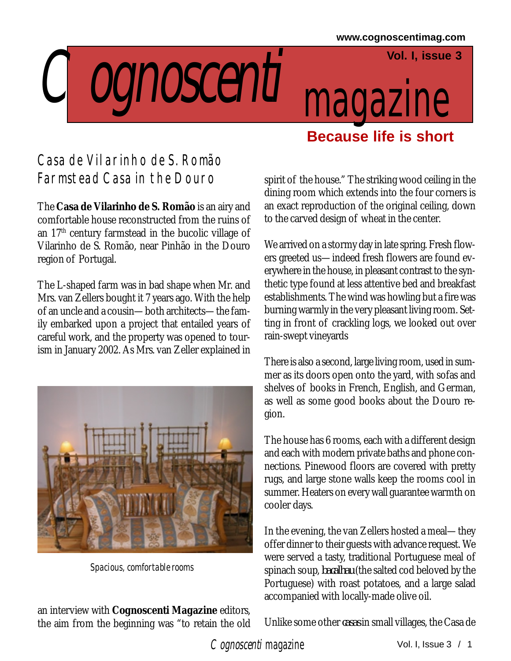## **Vol. I, issue 3**

Cognoscenti magazine

## Casa de Vilarinho de S. Romão Farmstead Casa in the Douro

The **Casa de Vilarinho de S. Romão** is an airy and comfortable house reconstructed from the ruins of an 17th century farmstead in the bucolic village of Vilarinho de S. Romão, near Pinhão in the Douro region of Portugal.

The L-shaped farm was in bad shape when Mr. and Mrs. van Zellers bought it 7 years ago. With the help of an uncle and a cousin—both architects—the family embarked upon a project that entailed years of careful work, and the property was opened to tourism in January 2002. As Mrs. van Zeller explained in



 *Spacious, comfortable rooms*

an interview with **Cognoscenti Magazine** editors, the aim from the beginning was "to retain the old spirit of the house." The striking wood ceiling in the dining room which extends into the four corners is an exact reproduction of the original ceiling, down to the carved design of wheat in the center.

**Because life is short**

We arrived on a stormy day in late spring. Fresh flowers greeted us—indeed fresh flowers are found everywhere in the house, in pleasant contrast to the synthetic type found at less attentive bed and breakfast establishments. The wind was howling but a fire was burning warmly in the very pleasant living room. Setting in front of crackling logs, we looked out over rain-swept vineyards

There is also a second, large living room, used in summer as its doors open onto the yard, with sofas and shelves of books in French, English, and German, as well as some good books about the Douro region.

The house has 6 rooms, each with a different design and each with modern private baths and phone connections. Pinewood floors are covered with pretty rugs, and large stone walls keep the rooms cool in summer. Heaters on every wall guarantee warmth on cooler days.

In the evening, the van Zellers hosted a meal—they offer dinner to their guests with advance request. We were served a tasty, traditional Portuguese meal of spinach soup, *bacalhau* (the salted cod beloved by the Portuguese) with roast potatoes, and a large salad accompanied with locally-made olive oil.

Unlike some other *casas* in small villages, the Casa de

Cognoscenti magazine Vol. I, Issue 3 / 1